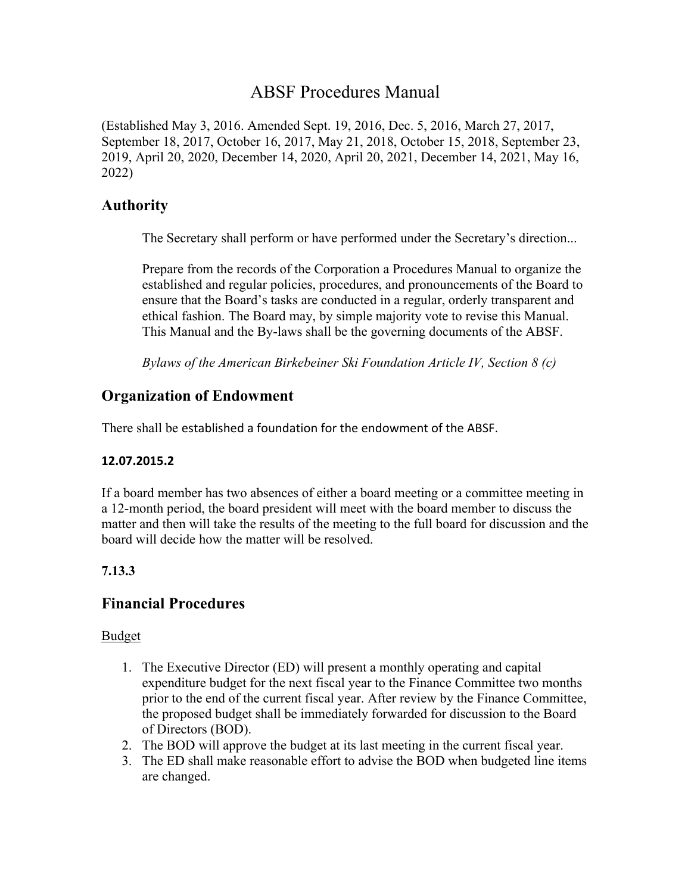# ABSF Procedures Manual

(Established May 3, 2016. Amended Sept. 19, 2016, Dec. 5, 2016, March 27, 2017, September 18, 2017, October 16, 2017, May 21, 2018, October 15, 2018, September 23, 2019, April 20, 2020, December 14, 2020, April 20, 2021, December 14, 2021, May 16, 2022)

## **Authority**

The Secretary shall perform or have performed under the Secretary's direction...

Prepare from the records of the Corporation a Procedures Manual to organize the established and regular policies, procedures, and pronouncements of the Board to ensure that the Board's tasks are conducted in a regular, orderly transparent and ethical fashion. The Board may, by simple majority vote to revise this Manual. This Manual and the By-laws shall be the governing documents of the ABSF.

*Bylaws of the American Birkebeiner Ski Foundation Article IV, Section 8 (c)* 

## **Organization of Endowment**

There shall be established a foundation for the endowment of the ABSF.

#### **12.07.2015.2**

If a board member has two absences of either a board meeting or a committee meeting in a 12-month period, the board president will meet with the board member to discuss the matter and then will take the results of the meeting to the full board for discussion and the board will decide how the matter will be resolved.

### **7.13.3**

## **Financial Procedures**

#### Budget

- 1. The Executive Director (ED) will present a monthly operating and capital expenditure budget for the next fiscal year to the Finance Committee two months prior to the end of the current fiscal year. After review by the Finance Committee, the proposed budget shall be immediately forwarded for discussion to the Board of Directors (BOD).
- 2. The BOD will approve the budget at its last meeting in the current fiscal year.
- 3. The ED shall make reasonable effort to advise the BOD when budgeted line items are changed.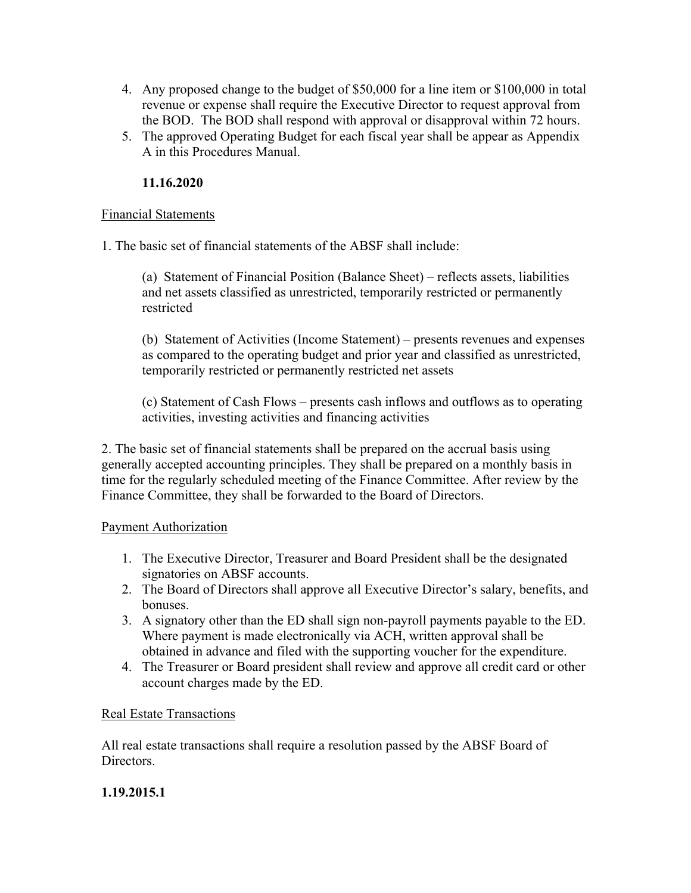- 4. Any proposed change to the budget of \$50,000 for a line item or \$100,000 in total revenue or expense shall require the Executive Director to request approval from the BOD. The BOD shall respond with approval or disapproval within 72 hours.
- 5. The approved Operating Budget for each fiscal year shall be appear as Appendix A in this Procedures Manual.

#### **11.16.2020**

#### Financial Statements

1. The basic set of financial statements of the ABSF shall include:

(a) Statement of Financial Position (Balance Sheet) – reflects assets, liabilities and net assets classified as unrestricted, temporarily restricted or permanently restricted

(b) Statement of Activities (Income Statement) – presents revenues and expenses as compared to the operating budget and prior year and classified as unrestricted, temporarily restricted or permanently restricted net assets

(c) Statement of Cash Flows – presents cash inflows and outflows as to operating activities, investing activities and financing activities

2. The basic set of financial statements shall be prepared on the accrual basis using generally accepted accounting principles. They shall be prepared on a monthly basis in time for the regularly scheduled meeting of the Finance Committee. After review by the Finance Committee, they shall be forwarded to the Board of Directors.

#### Payment Authorization

- 1. The Executive Director, Treasurer and Board President shall be the designated signatories on ABSF accounts.
- 2. The Board of Directors shall approve all Executive Director's salary, benefits, and bonuses.
- 3. A signatory other than the ED shall sign non-payroll payments payable to the ED. Where payment is made electronically via ACH, written approval shall be obtained in advance and filed with the supporting voucher for the expenditure.
- 4. The Treasurer or Board president shall review and approve all credit card or other account charges made by the ED.

#### Real Estate Transactions

All real estate transactions shall require a resolution passed by the ABSF Board of Directors.

#### **1.19.2015.1**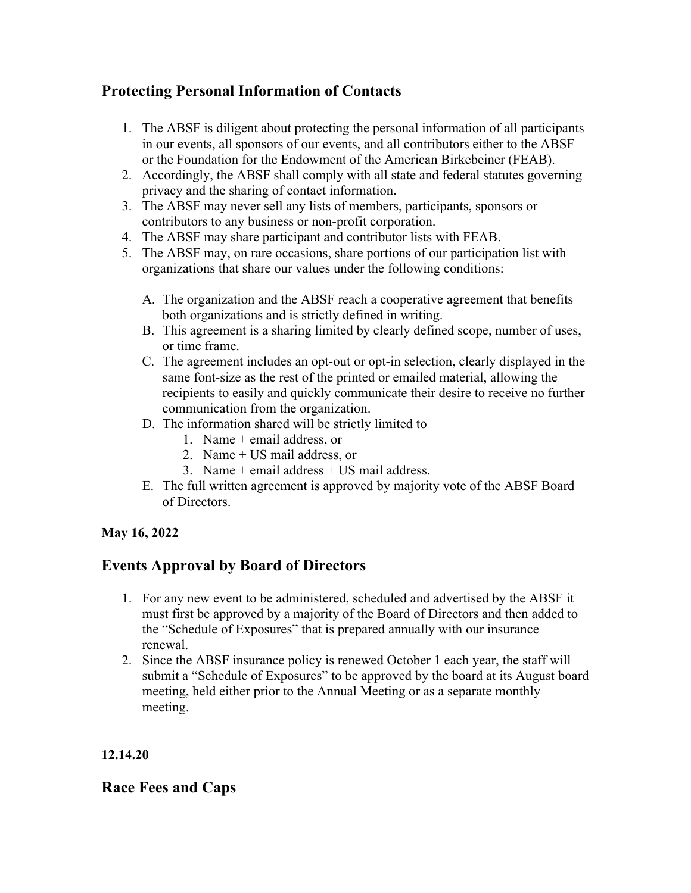# **Protecting Personal Information of Contacts**

- 1. The ABSF is diligent about protecting the personal information of all participants in our events, all sponsors of our events, and all contributors either to the ABSF or the Foundation for the Endowment of the American Birkebeiner (FEAB).
- 2. Accordingly, the ABSF shall comply with all state and federal statutes governing privacy and the sharing of contact information.
- 3. The ABSF may never sell any lists of members, participants, sponsors or contributors to any business or non-profit corporation.
- 4. The ABSF may share participant and contributor lists with FEAB.
- 5. The ABSF may, on rare occasions, share portions of our participation list with organizations that share our values under the following conditions:
	- A. The organization and the ABSF reach a cooperative agreement that benefits both organizations and is strictly defined in writing.
	- B. This agreement is a sharing limited by clearly defined scope, number of uses, or time frame.
	- C. The agreement includes an opt-out or opt-in selection, clearly displayed in the same font-size as the rest of the printed or emailed material, allowing the recipients to easily and quickly communicate their desire to receive no further communication from the organization.
	- D. The information shared will be strictly limited to
		- 1. Name + email address, or
		- 2. Name + US mail address, or
		- 3. Name  $+$  email address  $+$  US mail address.
	- E. The full written agreement is approved by majority vote of the ABSF Board of Directors.

### **May 16, 2022**

## **Events Approval by Board of Directors**

- 1. For any new event to be administered, scheduled and advertised by the ABSF it must first be approved by a majority of the Board of Directors and then added to the "Schedule of Exposures" that is prepared annually with our insurance renewal.
- 2. Since the ABSF insurance policy is renewed October 1 each year, the staff will submit a "Schedule of Exposures" to be approved by the board at its August board meeting, held either prior to the Annual Meeting or as a separate monthly meeting.

### **12.14.20**

### **Race Fees and Caps**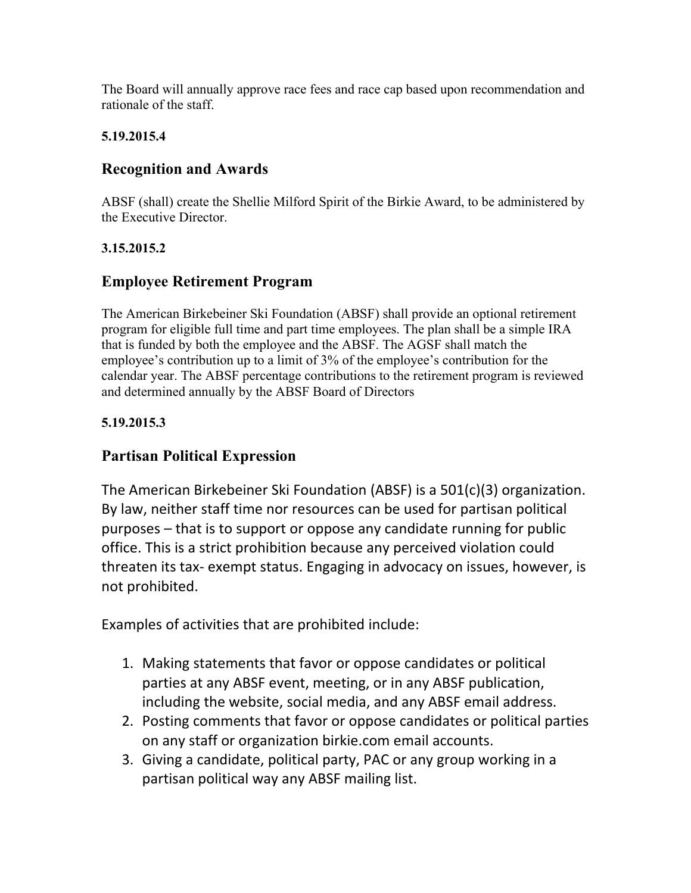The Board will annually approve race fees and race cap based upon recommendation and rationale of the staff.

### **5.19.2015.4**

## **Recognition and Awards**

ABSF (shall) create the Shellie Milford Spirit of the Birkie Award, to be administered by the Executive Director.

### **3.15.2015.2**

# **Employee Retirement Program**

The American Birkebeiner Ski Foundation (ABSF) shall provide an optional retirement program for eligible full time and part time employees. The plan shall be a simple IRA that is funded by both the employee and the ABSF. The AGSF shall match the employee's contribution up to a limit of 3% of the employee's contribution for the calendar year. The ABSF percentage contributions to the retirement program is reviewed and determined annually by the ABSF Board of Directors

### **5.19.2015.3**

## **Partisan Political Expression**

The American Birkebeiner Ski Foundation (ABSF) is a 501(c)(3) organization. By law, neither staff time nor resources can be used for partisan political purposes – that is to support or oppose any candidate running for public office. This is a strict prohibition because any perceived violation could threaten its tax‐ exempt status. Engaging in advocacy on issues, however, is not prohibited.

Examples of activities that are prohibited include:

- 1. Making statements that favor or oppose candidates or political parties at any ABSF event, meeting, or in any ABSF publication, including the website, social media, and any ABSF email address.
- 2. Posting comments that favor or oppose candidates or political parties on any staff or organization birkie.com email accounts.
- 3. Giving a candidate, political party, PAC or any group working in a partisan political way any ABSF mailing list.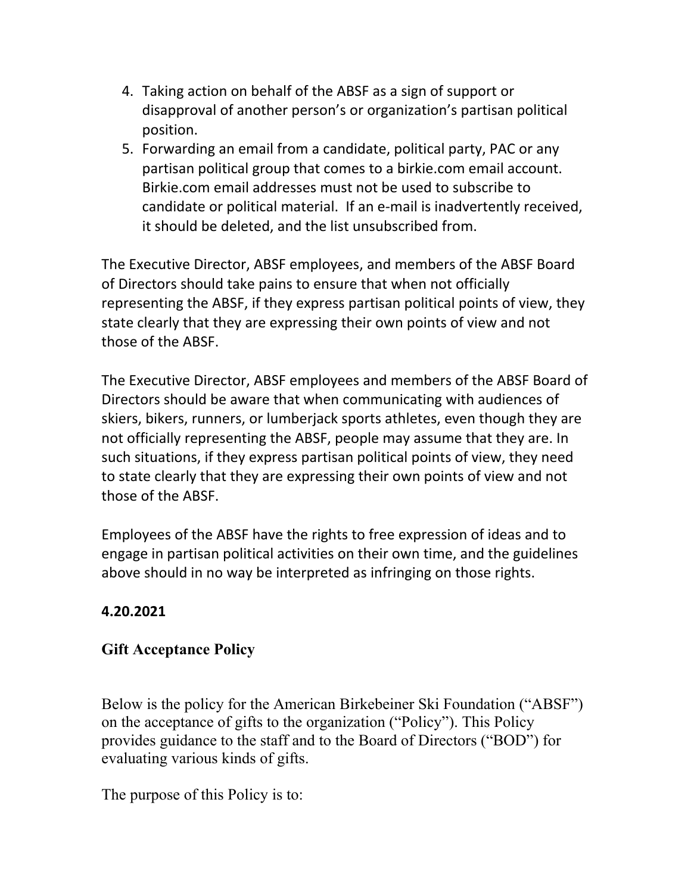- 4. Taking action on behalf of the ABSF as a sign of support or disapproval of another person's or organization's partisan political position.
- 5. Forwarding an email from a candidate, political party, PAC or any partisan political group that comes to a birkie.com email account. Birkie.com email addresses must not be used to subscribe to candidate or political material. If an e‐mail is inadvertently received, it should be deleted, and the list unsubscribed from.

The Executive Director, ABSF employees, and members of the ABSF Board of Directors should take pains to ensure that when not officially representing the ABSF, if they express partisan political points of view, they state clearly that they are expressing their own points of view and not those of the ABSF.

The Executive Director, ABSF employees and members of the ABSF Board of Directors should be aware that when communicating with audiences of skiers, bikers, runners, or lumberjack sports athletes, even though they are not officially representing the ABSF, people may assume that they are. In such situations, if they express partisan political points of view, they need to state clearly that they are expressing their own points of view and not those of the ABSF.

Employees of the ABSF have the rights to free expression of ideas and to engage in partisan political activities on their own time, and the guidelines above should in no way be interpreted as infringing on those rights.

# **4.20.2021**

## **Gift Acceptance Policy**

Below is the policy for the American Birkebeiner Ski Foundation ("ABSF") on the acceptance of gifts to the organization ("Policy"). This Policy provides guidance to the staff and to the Board of Directors ("BOD") for evaluating various kinds of gifts.

The purpose of this Policy is to: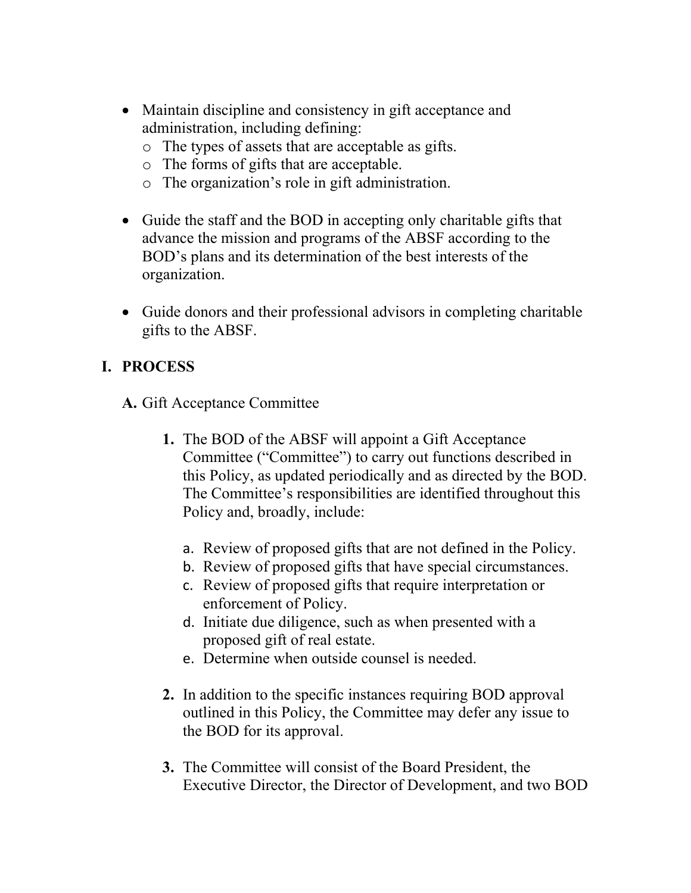- Maintain discipline and consistency in gift acceptance and administration, including defining:
	- o The types of assets that are acceptable as gifts.
	- o The forms of gifts that are acceptable.
	- o The organization's role in gift administration.
- Guide the staff and the BOD in accepting only charitable gifts that advance the mission and programs of the ABSF according to the BOD's plans and its determination of the best interests of the organization.
- Guide donors and their professional advisors in completing charitable gifts to the ABSF.

# **I. PROCESS**

**A.** Gift Acceptance Committee

- **1.** The BOD of the ABSF will appoint a Gift Acceptance Committee ("Committee") to carry out functions described in this Policy, as updated periodically and as directed by the BOD. The Committee's responsibilities are identified throughout this Policy and, broadly, include:
	- a. Review of proposed gifts that are not defined in the Policy.
	- b. Review of proposed gifts that have special circumstances.
	- c. Review of proposed gifts that require interpretation or enforcement of Policy.
	- d. Initiate due diligence, such as when presented with a proposed gift of real estate.
	- e. Determine when outside counsel is needed.
- **2.** In addition to the specific instances requiring BOD approval outlined in this Policy, the Committee may defer any issue to the BOD for its approval.
- **3.** The Committee will consist of the Board President, the Executive Director, the Director of Development, and two BOD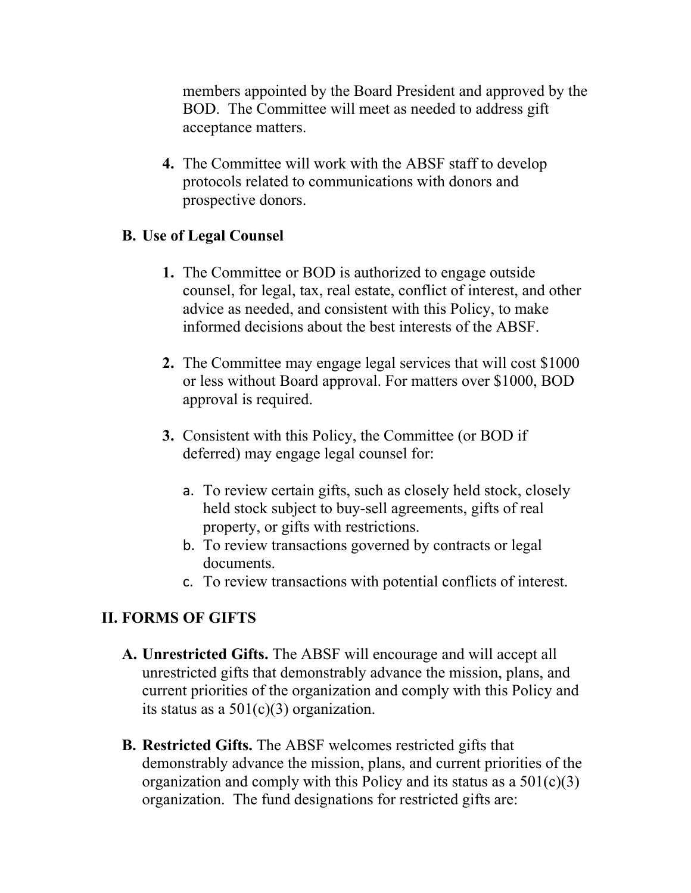members appointed by the Board President and approved by the BOD. The Committee will meet as needed to address gift acceptance matters.

**4.** The Committee will work with the ABSF staff to develop protocols related to communications with donors and prospective donors.

# **B. Use of Legal Counsel**

- **1.** The Committee or BOD is authorized to engage outside counsel, for legal, tax, real estate, conflict of interest, and other advice as needed, and consistent with this Policy, to make informed decisions about the best interests of the ABSF.
- **2.** The Committee may engage legal services that will cost \$1000 or less without Board approval. For matters over \$1000, BOD approval is required.
- **3.** Consistent with this Policy, the Committee (or BOD if deferred) may engage legal counsel for:
	- a. To review certain gifts, such as closely held stock, closely held stock subject to buy-sell agreements, gifts of real property, or gifts with restrictions.
	- b. To review transactions governed by contracts or legal documents.
	- c. To review transactions with potential conflicts of interest.

# **II. FORMS OF GIFTS**

- **A. Unrestricted Gifts.** The ABSF will encourage and will accept all unrestricted gifts that demonstrably advance the mission, plans, and current priorities of the organization and comply with this Policy and its status as a  $501(c)(3)$  organization.
- **B. Restricted Gifts.** The ABSF welcomes restricted gifts that demonstrably advance the mission, plans, and current priorities of the organization and comply with this Policy and its status as a  $501(c)(3)$ organization. The fund designations for restricted gifts are: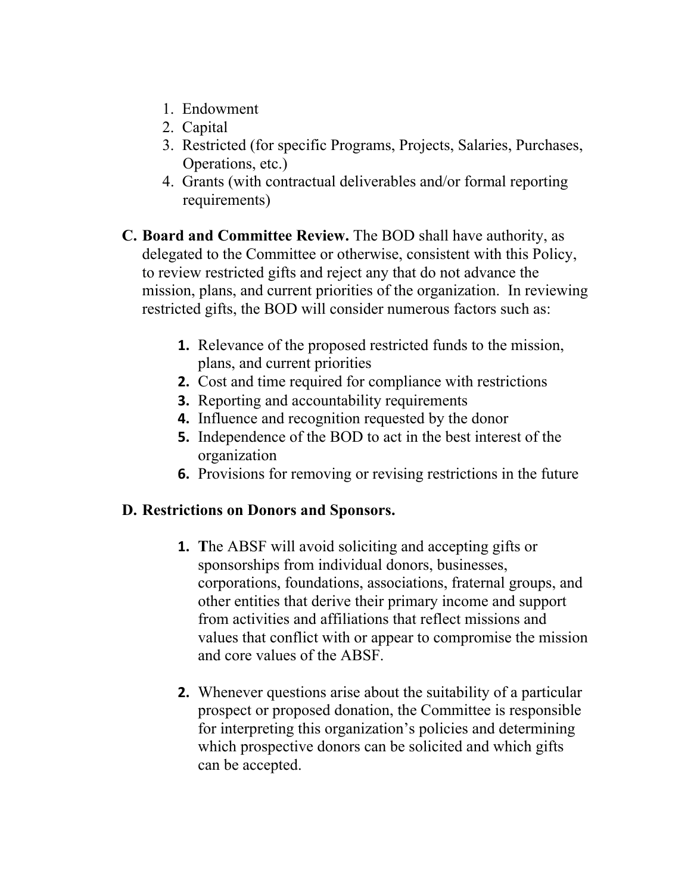- 1. Endowment
- 2. Capital
- 3. Restricted (for specific Programs, Projects, Salaries, Purchases, Operations, etc.)
- 4.Grants (with contractual deliverables and/or formal reporting requirements)
- **C. Board and Committee Review.** The BOD shall have authority, as delegated to the Committee or otherwise, consistent with this Policy, to review restricted gifts and reject any that do not advance the mission, plans, and current priorities of the organization. In reviewing restricted gifts, the BOD will consider numerous factors such as:
	- **1.** Relevance of the proposed restricted funds to the mission, plans, and current priorities
	- **2.** Cost and time required for compliance with restrictions
	- **3.** Reporting and accountability requirements
	- **4.** Influence and recognition requested by the donor
	- **5.** Independence of the BOD to act in the best interest of the organization
	- **6.** Provisions for removing or revising restrictions in the future

# **D. Restrictions on Donors and Sponsors.**

- **1. T**he ABSF will avoid soliciting and accepting gifts or sponsorships from individual donors, businesses, corporations, foundations, associations, fraternal groups, and other entities that derive their primary income and support from activities and affiliations that reflect missions and values that conflict with or appear to compromise the mission and core values of the ABSF.
- **2.** Whenever questions arise about the suitability of a particular prospect or proposed donation, the Committee is responsible for interpreting this organization's policies and determining which prospective donors can be solicited and which gifts can be accepted.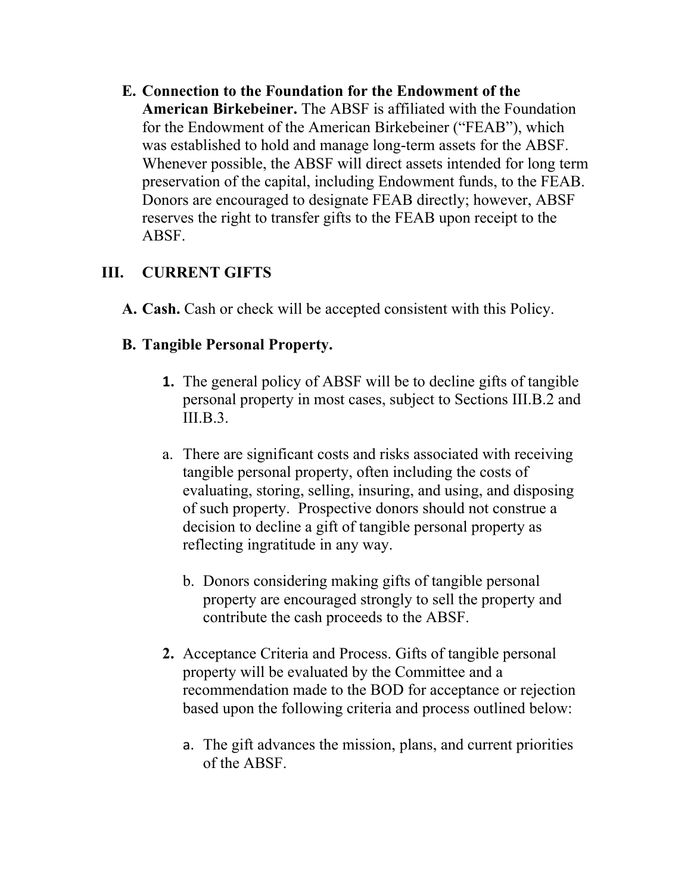**E. Connection to the Foundation for the Endowment of the American Birkebeiner.** The ABSF is affiliated with the Foundation for the Endowment of the American Birkebeiner ("FEAB"), which was established to hold and manage long-term assets for the ABSF. Whenever possible, the ABSF will direct assets intended for long term preservation of the capital, including Endowment funds, to the FEAB. Donors are encouraged to designate FEAB directly; however, ABSF reserves the right to transfer gifts to the FEAB upon receipt to the ABSF.

# **III. CURRENT GIFTS**

**A. Cash.** Cash or check will be accepted consistent with this Policy.

## **B. Tangible Personal Property.**

- **1.** The general policy of ABSF will be to decline gifts of tangible personal property in most cases, subject to Sections III.B.2 and  $III.B.3.$
- a. There are significant costs and risks associated with receiving tangible personal property, often including the costs of evaluating, storing, selling, insuring, and using, and disposing of such property. Prospective donors should not construe a decision to decline a gift of tangible personal property as reflecting ingratitude in any way.
	- b. Donors considering making gifts of tangible personal property are encouraged strongly to sell the property and contribute the cash proceeds to the ABSF.
- **2.** Acceptance Criteria and Process. Gifts of tangible personal property will be evaluated by the Committee and a recommendation made to the BOD for acceptance or rejection based upon the following criteria and process outlined below:
	- a. The gift advances the mission, plans, and current priorities of the ABSF.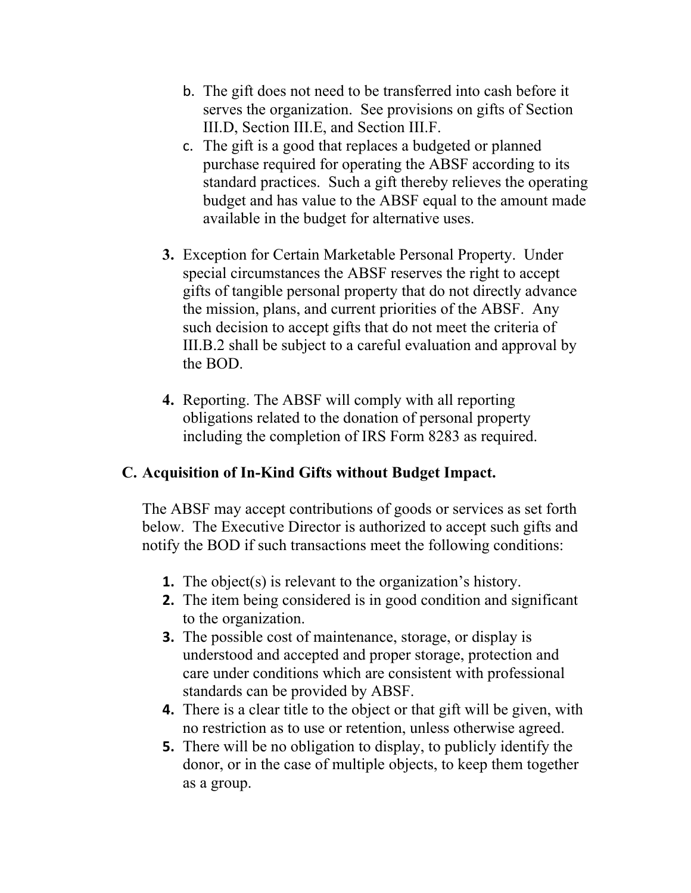- b. The gift does not need to be transferred into cash before it serves the organization. See provisions on gifts of Section III.D, Section III.E, and Section III.F.
- c. The gift is a good that replaces a budgeted or planned purchase required for operating the ABSF according to its standard practices. Such a gift thereby relieves the operating budget and has value to the ABSF equal to the amount made available in the budget for alternative uses.
- **3.** Exception for Certain Marketable Personal Property. Under special circumstances the ABSF reserves the right to accept gifts of tangible personal property that do not directly advance the mission, plans, and current priorities of the ABSF. Any such decision to accept gifts that do not meet the criteria of III.B.2 shall be subject to a careful evaluation and approval by the BOD.
- **4.** Reporting. The ABSF will comply with all reporting obligations related to the donation of personal property including the completion of IRS Form 8283 as required.

# **C. Acquisition of In-Kind Gifts without Budget Impact.**

The ABSF may accept contributions of goods or services as set forth below. The Executive Director is authorized to accept such gifts and notify the BOD if such transactions meet the following conditions:

- **1.** The object(s) is relevant to the organization's history.
- **2.** The item being considered is in good condition and significant to the organization.
- **3.** The possible cost of maintenance, storage, or display is understood and accepted and proper storage, protection and care under conditions which are consistent with professional standards can be provided by ABSF.
- **4.** There is a clear title to the object or that gift will be given, with no restriction as to use or retention, unless otherwise agreed.
- **5.** There will be no obligation to display, to publicly identify the donor, or in the case of multiple objects, to keep them together as a group.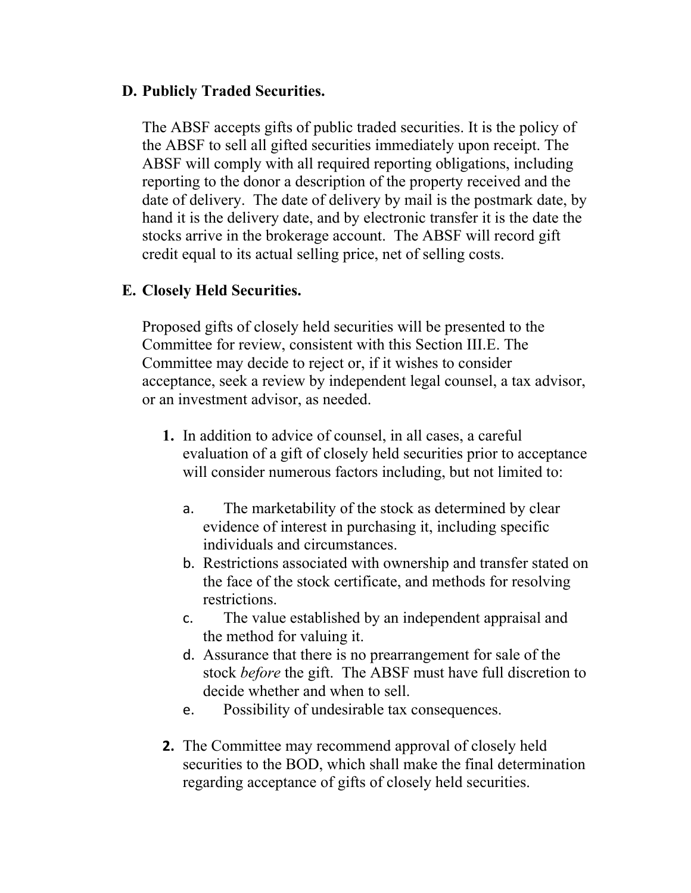## **D. Publicly Traded Securities.**

The ABSF accepts gifts of public traded securities. It is the policy of the ABSF to sell all gifted securities immediately upon receipt. The ABSF will comply with all required reporting obligations, including reporting to the donor a description of the property received and the date of delivery. The date of delivery by mail is the postmark date, by hand it is the delivery date, and by electronic transfer it is the date the stocks arrive in the brokerage account. The ABSF will record gift credit equal to its actual selling price, net of selling costs.

## **E. Closely Held Securities.**

Proposed gifts of closely held securities will be presented to the Committee for review, consistent with this Section III.E. The Committee may decide to reject or, if it wishes to consider acceptance, seek a review by independent legal counsel, a tax advisor, or an investment advisor, as needed.

- **1.** In addition to advice of counsel, in all cases, a careful evaluation of a gift of closely held securities prior to acceptance will consider numerous factors including, but not limited to:
	- a. The marketability of the stock as determined by clear evidence of interest in purchasing it, including specific individuals and circumstances.
	- b. Restrictions associated with ownership and transfer stated on the face of the stock certificate, and methods for resolving restrictions.
	- c. The value established by an independent appraisal and the method for valuing it.
	- d. Assurance that there is no prearrangement for sale of the stock *before* the gift. The ABSF must have full discretion to decide whether and when to sell.
	- e. Possibility of undesirable tax consequences.
- **2.** The Committee may recommend approval of closely held securities to the BOD, which shall make the final determination regarding acceptance of gifts of closely held securities.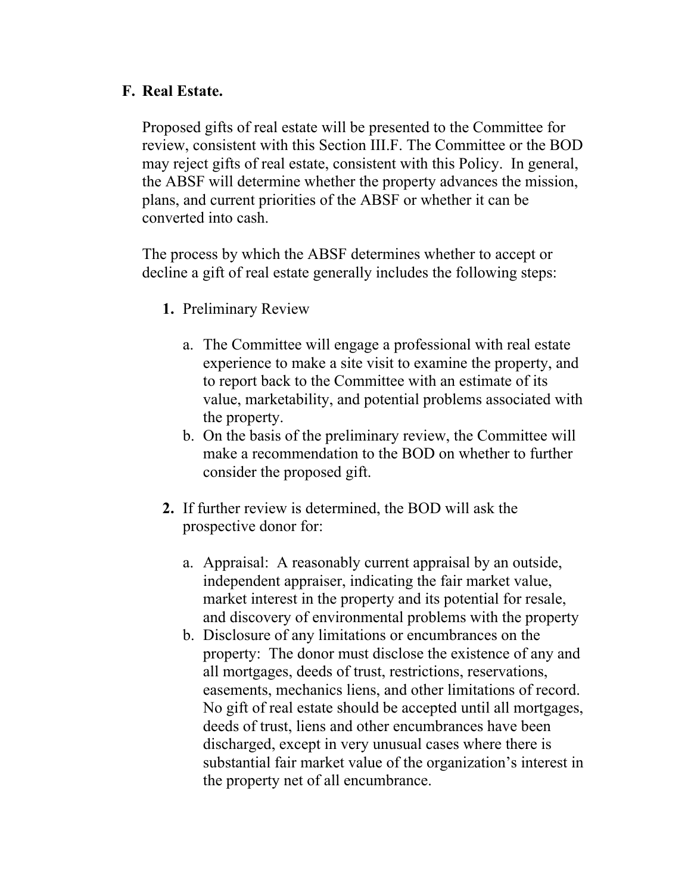# **F. Real Estate.**

Proposed gifts of real estate will be presented to the Committee for review, consistent with this Section III.F. The Committee or the BOD may reject gifts of real estate, consistent with this Policy. In general, the ABSF will determine whether the property advances the mission, plans, and current priorities of the ABSF or whether it can be converted into cash.

The process by which the ABSF determines whether to accept or decline a gift of real estate generally includes the following steps:

- **1.** Preliminary Review
	- a. The Committee will engage a professional with real estate experience to make a site visit to examine the property, and to report back to the Committee with an estimate of its value, marketability, and potential problems associated with the property.
	- b. On the basis of the preliminary review, the Committee will make a recommendation to the BOD on whether to further consider the proposed gift.
- **2.** If further review is determined, the BOD will ask the prospective donor for:
	- a. Appraisal: A reasonably current appraisal by an outside, independent appraiser, indicating the fair market value, market interest in the property and its potential for resale, and discovery of environmental problems with the property
	- b. Disclosure of any limitations or encumbrances on the property: The donor must disclose the existence of any and all mortgages, deeds of trust, restrictions, reservations, easements, mechanics liens, and other limitations of record. No gift of real estate should be accepted until all mortgages, deeds of trust, liens and other encumbrances have been discharged, except in very unusual cases where there is substantial fair market value of the organization's interest in the property net of all encumbrance.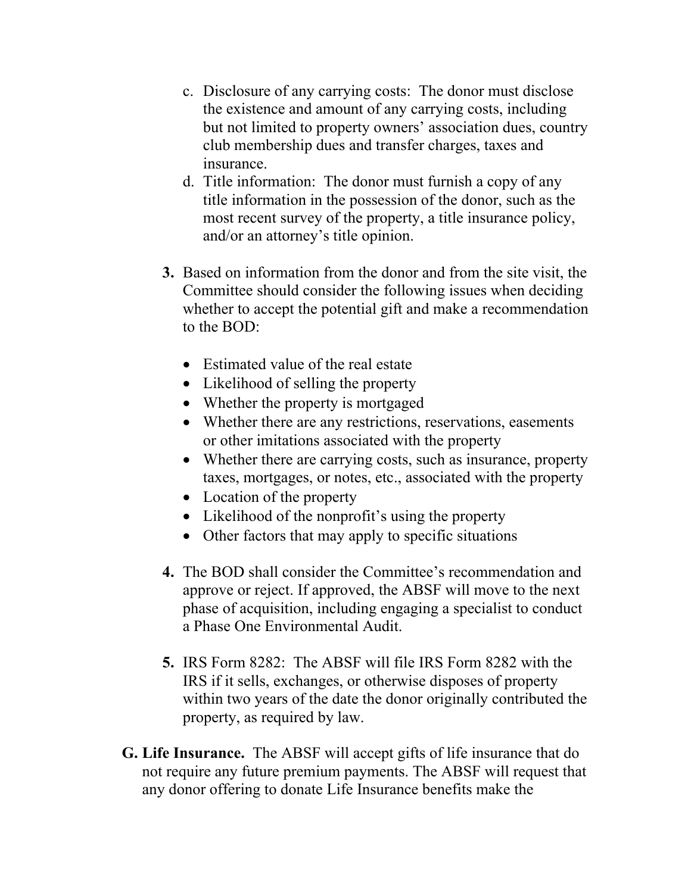- c. Disclosure of any carrying costs: The donor must disclose the existence and amount of any carrying costs, including but not limited to property owners' association dues, country club membership dues and transfer charges, taxes and insurance.
- d. Title information: The donor must furnish a copy of any title information in the possession of the donor, such as the most recent survey of the property, a title insurance policy, and/or an attorney's title opinion.
- **3.** Based on information from the donor and from the site visit, the Committee should consider the following issues when deciding whether to accept the potential gift and make a recommendation to the BOD:
	- Estimated value of the real estate
	- Likelihood of selling the property
	- Whether the property is mortgaged
	- Whether there are any restrictions, reservations, easements or other imitations associated with the property
	- Whether there are carrying costs, such as insurance, property taxes, mortgages, or notes, etc., associated with the property
	- Location of the property
	- Likelihood of the nonprofit's using the property
	- Other factors that may apply to specific situations
- **4.** The BOD shall consider the Committee's recommendation and approve or reject. If approved, the ABSF will move to the next phase of acquisition, including engaging a specialist to conduct a Phase One Environmental Audit.
- **5.** IRS Form 8282: The ABSF will file IRS Form 8282 with the IRS if it sells, exchanges, or otherwise disposes of property within two years of the date the donor originally contributed the property, as required by law.
- **G. Life Insurance.** The ABSF will accept gifts of life insurance that do not require any future premium payments. The ABSF will request that any donor offering to donate Life Insurance benefits make the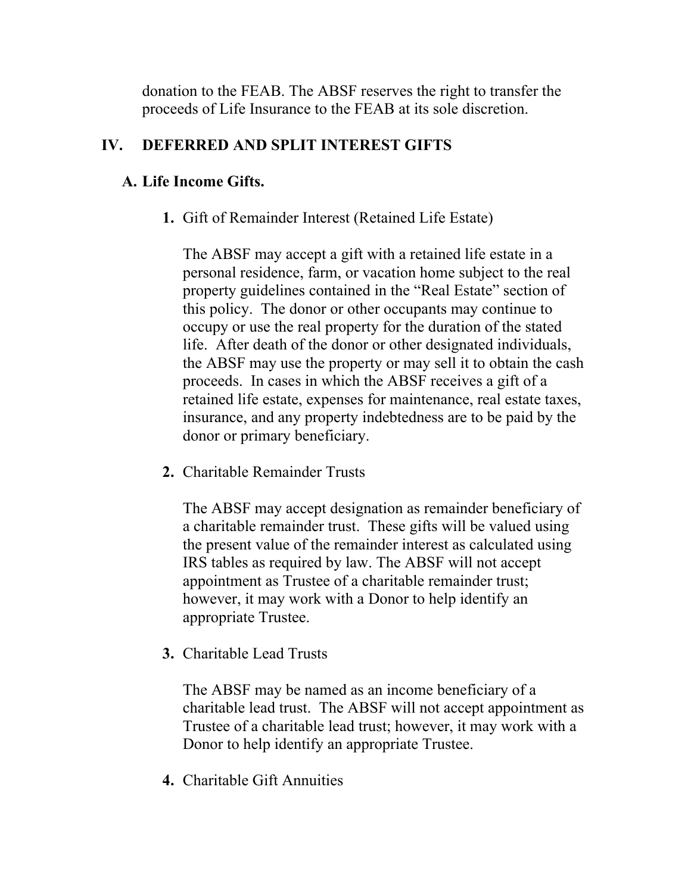donation to the FEAB. The ABSF reserves the right to transfer the proceeds of Life Insurance to the FEAB at its sole discretion.

# **IV. DEFERRED AND SPLIT INTEREST GIFTS**

# **A. Life Income Gifts.**

**1.** Gift of Remainder Interest (Retained Life Estate)

The ABSF may accept a gift with a retained life estate in a personal residence, farm, or vacation home subject to the real property guidelines contained in the "Real Estate" section of this policy. The donor or other occupants may continue to occupy or use the real property for the duration of the stated life. After death of the donor or other designated individuals, the ABSF may use the property or may sell it to obtain the cash proceeds. In cases in which the ABSF receives a gift of a retained life estate, expenses for maintenance, real estate taxes, insurance, and any property indebtedness are to be paid by the donor or primary beneficiary.

**2.** Charitable Remainder Trusts

The ABSF may accept designation as remainder beneficiary of a charitable remainder trust. These gifts will be valued using the present value of the remainder interest as calculated using IRS tables as required by law. The ABSF will not accept appointment as Trustee of a charitable remainder trust; however, it may work with a Donor to help identify an appropriate Trustee.

**3.** Charitable Lead Trusts

The ABSF may be named as an income beneficiary of a charitable lead trust. The ABSF will not accept appointment as Trustee of a charitable lead trust; however, it may work with a Donor to help identify an appropriate Trustee.

**4.** Charitable Gift Annuities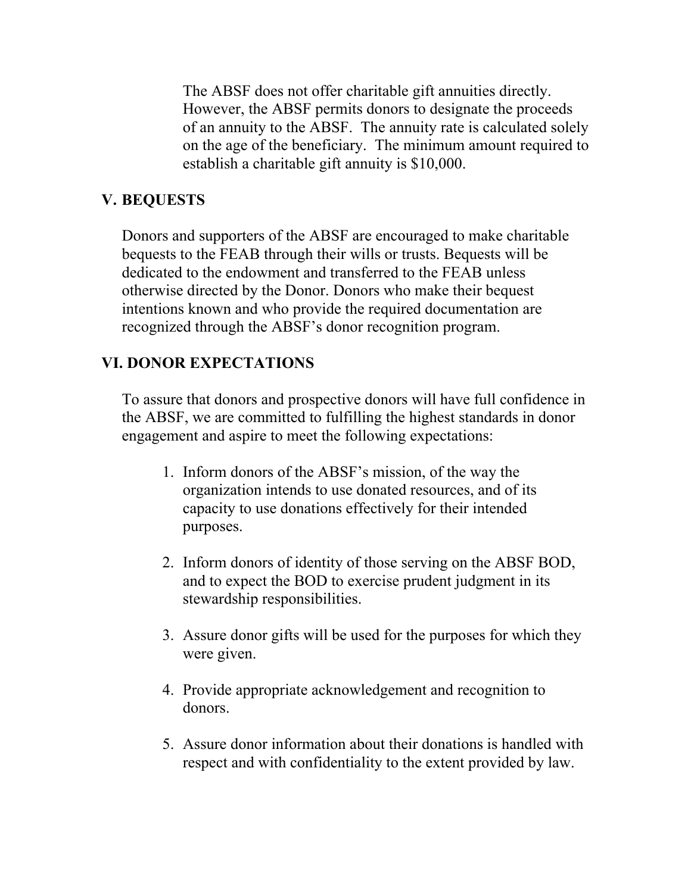The ABSF does not offer charitable gift annuities directly. However, the ABSF permits donors to designate the proceeds of an annuity to the ABSF. The annuity rate is calculated solely on the age of the beneficiary. The minimum amount required to establish a charitable gift annuity is \$10,000.

# **V. BEQUESTS**

Donors and supporters of the ABSF are encouraged to make charitable bequests to the FEAB through their wills or trusts. Bequests will be dedicated to the endowment and transferred to the FEAB unless otherwise directed by the Donor. Donors who make their bequest intentions known and who provide the required documentation are recognized through the ABSF's donor recognition program.

# **VI. DONOR EXPECTATIONS**

To assure that donors and prospective donors will have full confidence in the ABSF, we are committed to fulfilling the highest standards in donor engagement and aspire to meet the following expectations:

- 1. Inform donors of the ABSF's mission, of the way the organization intends to use donated resources, and of its capacity to use donations effectively for their intended purposes.
- 2. Inform donors of identity of those serving on the ABSF BOD, and to expect the BOD to exercise prudent judgment in its stewardship responsibilities.
- 3. Assure donor gifts will be used for the purposes for which they were given.
- 4. Provide appropriate acknowledgement and recognition to donors.
- 5. Assure donor information about their donations is handled with respect and with confidentiality to the extent provided by law.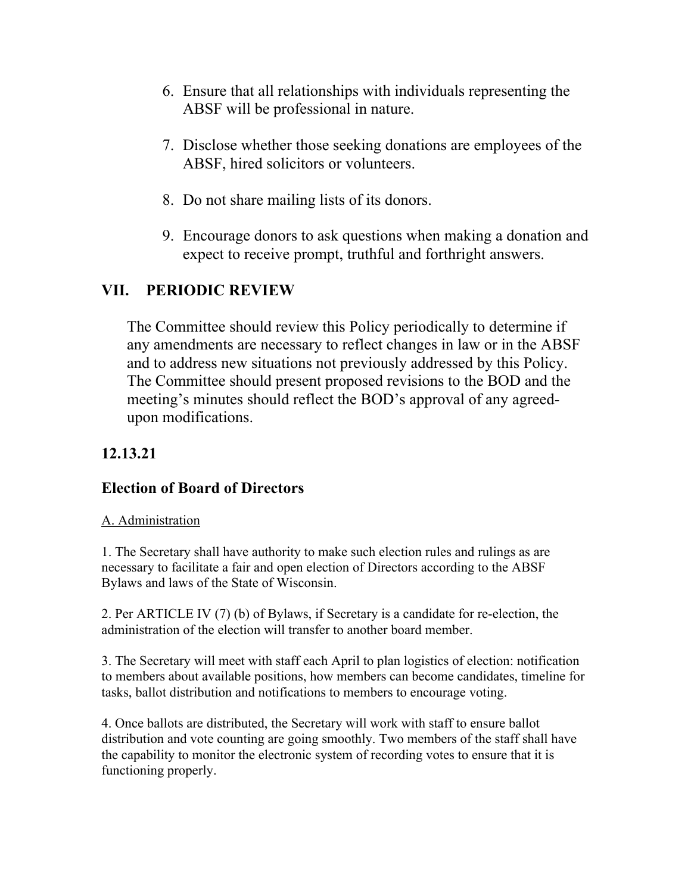- 6. Ensure that all relationships with individuals representing the ABSF will be professional in nature.
- 7. Disclose whether those seeking donations are employees of the ABSF, hired solicitors or volunteers.
- 8. Do not share mailing lists of its donors.
- 9. Encourage donors to ask questions when making a donation and expect to receive prompt, truthful and forthright answers.

# **VII. PERIODIC REVIEW**

The Committee should review this Policy periodically to determine if any amendments are necessary to reflect changes in law or in the ABSF and to address new situations not previously addressed by this Policy. The Committee should present proposed revisions to the BOD and the meeting's minutes should reflect the BOD's approval of any agreedupon modifications.

# **12.13.21**

# **Election of Board of Directors**

### A. Administration

1. The Secretary shall have authority to make such election rules and rulings as are necessary to facilitate a fair and open election of Directors according to the ABSF Bylaws and laws of the State of Wisconsin.

2. Per ARTICLE IV (7) (b) of Bylaws, if Secretary is a candidate for re-election, the administration of the election will transfer to another board member.

3. The Secretary will meet with staff each April to plan logistics of election: notification to members about available positions, how members can become candidates, timeline for tasks, ballot distribution and notifications to members to encourage voting.

4. Once ballots are distributed, the Secretary will work with staff to ensure ballot distribution and vote counting are going smoothly. Two members of the staff shall have the capability to monitor the electronic system of recording votes to ensure that it is functioning properly.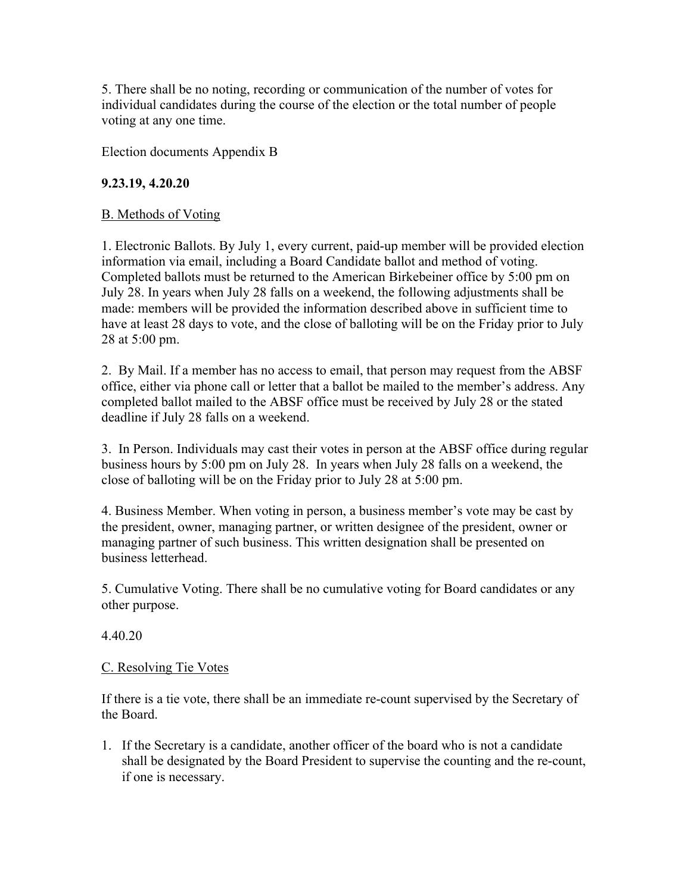5. There shall be no noting, recording or communication of the number of votes for individual candidates during the course of the election or the total number of people voting at any one time.

Election documents Appendix B

#### **9.23.19, 4.20.20**

#### B. Methods of Voting

1. Electronic Ballots. By July 1, every current, paid-up member will be provided election information via email, including a Board Candidate ballot and method of voting. Completed ballots must be returned to the American Birkebeiner office by 5:00 pm on July 28. In years when July 28 falls on a weekend, the following adjustments shall be made: members will be provided the information described above in sufficient time to have at least 28 days to vote, and the close of balloting will be on the Friday prior to July 28 at 5:00 pm.

2. By Mail. If a member has no access to email, that person may request from the ABSF office, either via phone call or letter that a ballot be mailed to the member's address. Any completed ballot mailed to the ABSF office must be received by July 28 or the stated deadline if July 28 falls on a weekend.

3. In Person. Individuals may cast their votes in person at the ABSF office during regular business hours by 5:00 pm on July 28. In years when July 28 falls on a weekend, the close of balloting will be on the Friday prior to July 28 at 5:00 pm.

4. Business Member. When voting in person, a business member's vote may be cast by the president, owner, managing partner, or written designee of the president, owner or managing partner of such business. This written designation shall be presented on business letterhead.

5. Cumulative Voting. There shall be no cumulative voting for Board candidates or any other purpose.

4.40.20

#### C. Resolving Tie Votes

If there is a tie vote, there shall be an immediate re-count supervised by the Secretary of the Board.

1. If the Secretary is a candidate, another officer of the board who is not a candidate shall be designated by the Board President to supervise the counting and the re-count, if one is necessary.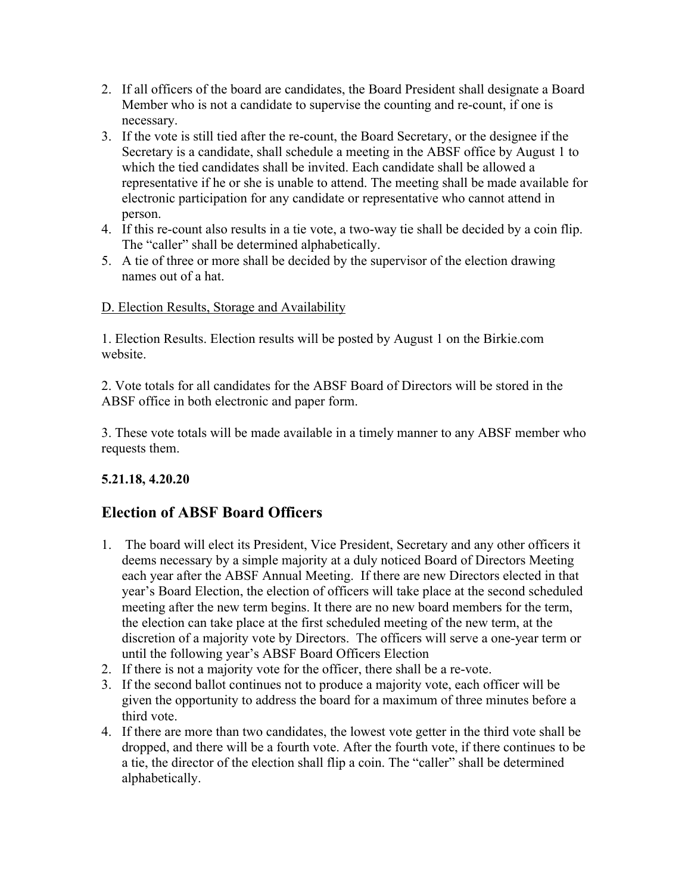- 2. If all officers of the board are candidates, the Board President shall designate a Board Member who is not a candidate to supervise the counting and re-count, if one is necessary.
- 3. If the vote is still tied after the re-count, the Board Secretary, or the designee if the Secretary is a candidate, shall schedule a meeting in the ABSF office by August 1 to which the tied candidates shall be invited. Each candidate shall be allowed a representative if he or she is unable to attend. The meeting shall be made available for electronic participation for any candidate or representative who cannot attend in person.
- 4. If this re-count also results in a tie vote, a two-way tie shall be decided by a coin flip. The "caller" shall be determined alphabetically.
- 5. A tie of three or more shall be decided by the supervisor of the election drawing names out of a hat.

#### D. Election Results, Storage and Availability

1. Election Results. Election results will be posted by August 1 on the Birkie.com website.

2. Vote totals for all candidates for the ABSF Board of Directors will be stored in the ABSF office in both electronic and paper form.

3. These vote totals will be made available in a timely manner to any ABSF member who requests them.

### **5.21.18, 4.20.20**

# **Election of ABSF Board Officers**

- 1. The board will elect its President, Vice President, Secretary and any other officers it deems necessary by a simple majority at a duly noticed Board of Directors Meeting each year after the ABSF Annual Meeting. If there are new Directors elected in that year's Board Election, the election of officers will take place at the second scheduled meeting after the new term begins. It there are no new board members for the term, the election can take place at the first scheduled meeting of the new term, at the discretion of a majority vote by Directors. The officers will serve a one-year term or until the following year's ABSF Board Officers Election
- 2. If there is not a majority vote for the officer, there shall be a re-vote.
- 3. If the second ballot continues not to produce a majority vote, each officer will be given the opportunity to address the board for a maximum of three minutes before a third vote.
- 4. If there are more than two candidates, the lowest vote getter in the third vote shall be dropped, and there will be a fourth vote. After the fourth vote, if there continues to be a tie, the director of the election shall flip a coin. The "caller" shall be determined alphabetically.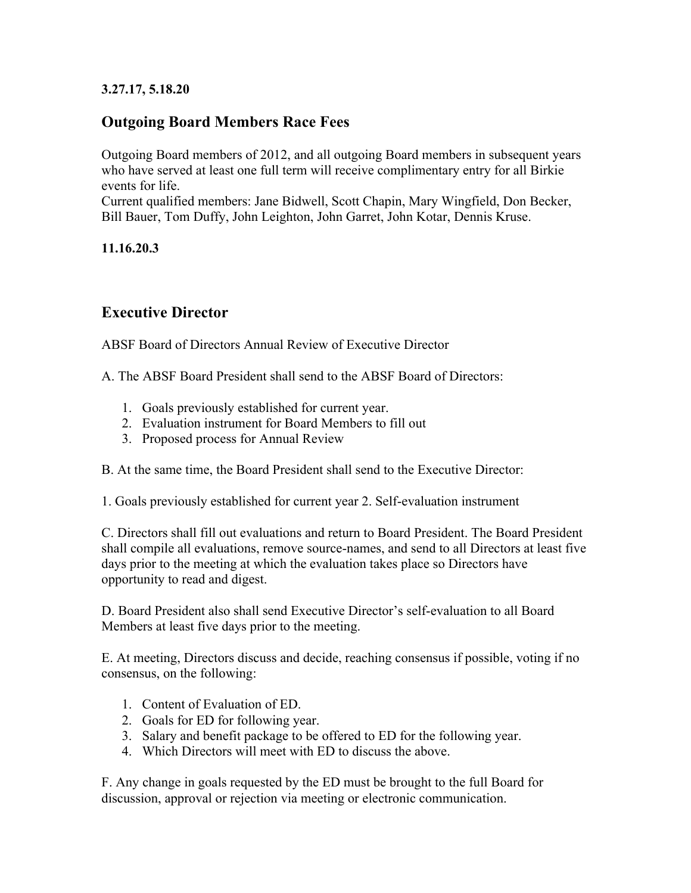#### **3.27.17, 5.18.20**

## **Outgoing Board Members Race Fees**

Outgoing Board members of 2012, and all outgoing Board members in subsequent years who have served at least one full term will receive complimentary entry for all Birkie events for life.

Current qualified members: Jane Bidwell, Scott Chapin, Mary Wingfield, Don Becker, Bill Bauer, Tom Duffy, John Leighton, John Garret, John Kotar, Dennis Kruse.

**11.16.20.3** 

## **Executive Director**

ABSF Board of Directors Annual Review of Executive Director

A. The ABSF Board President shall send to the ABSF Board of Directors:

- 1. Goals previously established for current year.
- 2. Evaluation instrument for Board Members to fill out
- 3. Proposed process for Annual Review

B. At the same time, the Board President shall send to the Executive Director:

1. Goals previously established for current year 2. Self-evaluation instrument

C. Directors shall fill out evaluations and return to Board President. The Board President shall compile all evaluations, remove source-names, and send to all Directors at least five days prior to the meeting at which the evaluation takes place so Directors have opportunity to read and digest.

D. Board President also shall send Executive Director's self-evaluation to all Board Members at least five days prior to the meeting.

E. At meeting, Directors discuss and decide, reaching consensus if possible, voting if no consensus, on the following:

- 1. Content of Evaluation of ED.
- 2. Goals for ED for following year.
- 3. Salary and benefit package to be offered to ED for the following year.
- 4. Which Directors will meet with ED to discuss the above.

F. Any change in goals requested by the ED must be brought to the full Board for discussion, approval or rejection via meeting or electronic communication.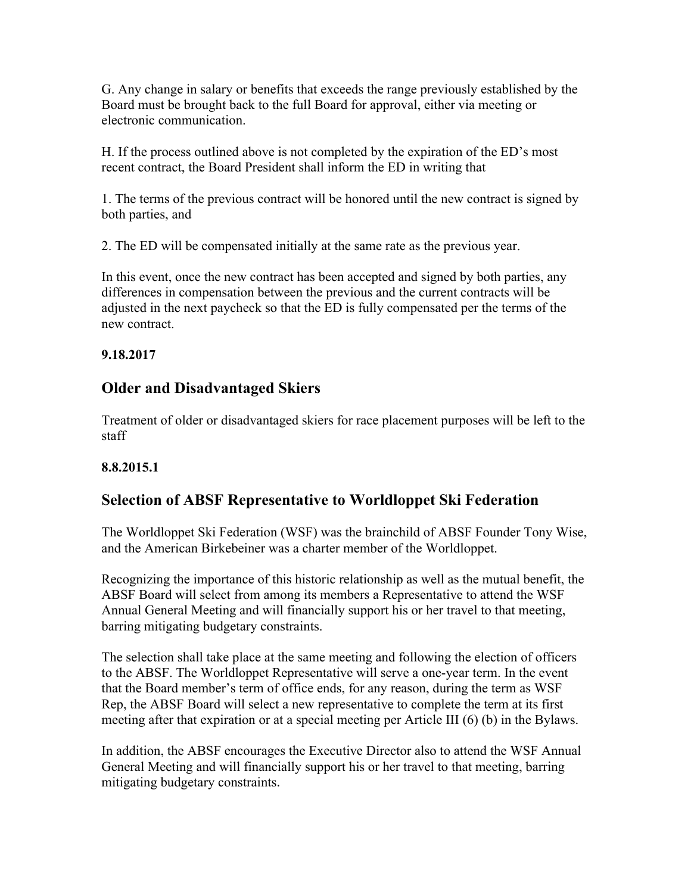G. Any change in salary or benefits that exceeds the range previously established by the Board must be brought back to the full Board for approval, either via meeting or electronic communication.

H. If the process outlined above is not completed by the expiration of the ED's most recent contract, the Board President shall inform the ED in writing that

1. The terms of the previous contract will be honored until the new contract is signed by both parties, and

2. The ED will be compensated initially at the same rate as the previous year.

In this event, once the new contract has been accepted and signed by both parties, any differences in compensation between the previous and the current contracts will be adjusted in the next paycheck so that the ED is fully compensated per the terms of the new contract.

#### **9.18.2017**

# **Older and Disadvantaged Skiers**

Treatment of older or disadvantaged skiers for race placement purposes will be left to the staff

### **8.8.2015.1**

## **Selection of ABSF Representative to Worldloppet Ski Federation**

The Worldloppet Ski Federation (WSF) was the brainchild of ABSF Founder Tony Wise, and the American Birkebeiner was a charter member of the Worldloppet.

Recognizing the importance of this historic relationship as well as the mutual benefit, the ABSF Board will select from among its members a Representative to attend the WSF Annual General Meeting and will financially support his or her travel to that meeting, barring mitigating budgetary constraints.

The selection shall take place at the same meeting and following the election of officers to the ABSF. The Worldloppet Representative will serve a one-year term. In the event that the Board member's term of office ends, for any reason, during the term as WSF Rep, the ABSF Board will select a new representative to complete the term at its first meeting after that expiration or at a special meeting per Article III (6) (b) in the Bylaws.

In addition, the ABSF encourages the Executive Director also to attend the WSF Annual General Meeting and will financially support his or her travel to that meeting, barring mitigating budgetary constraints.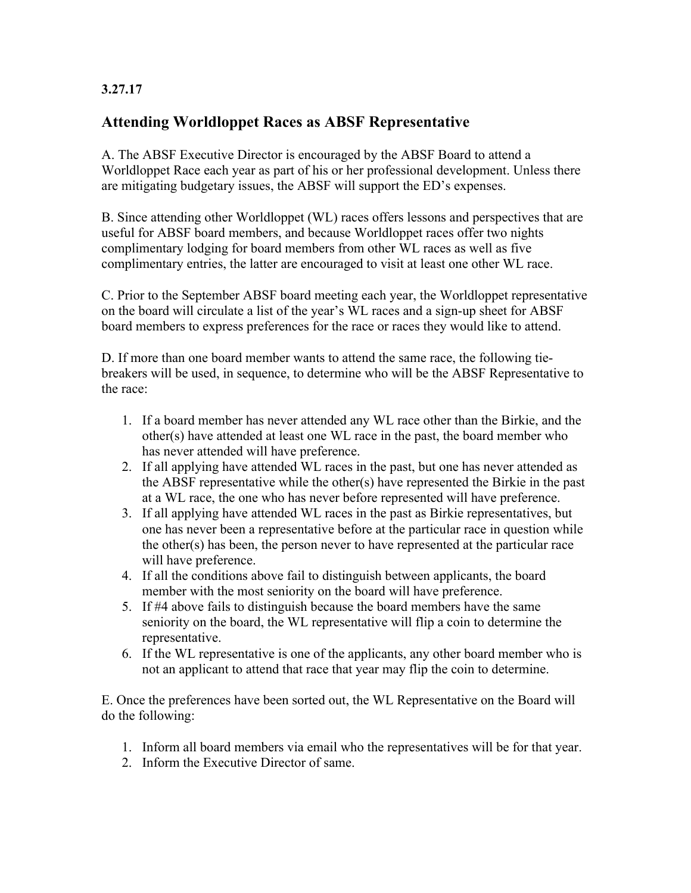#### **3.27.17**

## **Attending Worldloppet Races as ABSF Representative**

A. The ABSF Executive Director is encouraged by the ABSF Board to attend a Worldloppet Race each year as part of his or her professional development. Unless there are mitigating budgetary issues, the ABSF will support the ED's expenses.

B. Since attending other Worldloppet (WL) races offers lessons and perspectives that are useful for ABSF board members, and because Worldloppet races offer two nights complimentary lodging for board members from other WL races as well as five complimentary entries, the latter are encouraged to visit at least one other WL race.

C. Prior to the September ABSF board meeting each year, the Worldloppet representative on the board will circulate a list of the year's WL races and a sign-up sheet for ABSF board members to express preferences for the race or races they would like to attend.

D. If more than one board member wants to attend the same race, the following tiebreakers will be used, in sequence, to determine who will be the ABSF Representative to the race:

- 1. If a board member has never attended any WL race other than the Birkie, and the other(s) have attended at least one WL race in the past, the board member who has never attended will have preference.
- 2. If all applying have attended WL races in the past, but one has never attended as the ABSF representative while the other(s) have represented the Birkie in the past at a WL race, the one who has never before represented will have preference.
- 3. If all applying have attended WL races in the past as Birkie representatives, but one has never been a representative before at the particular race in question while the other(s) has been, the person never to have represented at the particular race will have preference.
- 4. If all the conditions above fail to distinguish between applicants, the board member with the most seniority on the board will have preference.
- 5. If #4 above fails to distinguish because the board members have the same seniority on the board, the WL representative will flip a coin to determine the representative.
- 6. If the WL representative is one of the applicants, any other board member who is not an applicant to attend that race that year may flip the coin to determine.

E. Once the preferences have been sorted out, the WL Representative on the Board will do the following:

- 1. Inform all board members via email who the representatives will be for that year.
- 2. Inform the Executive Director of same.